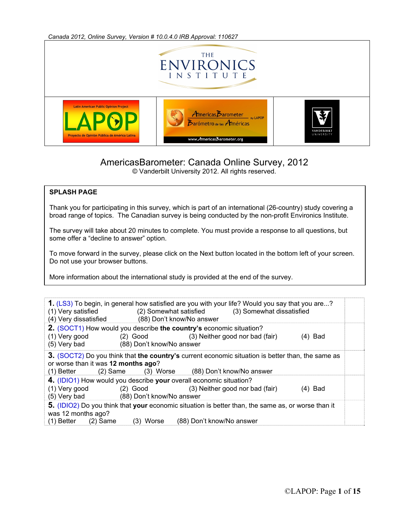*Canada 2012, Online Survey, Version # 10.0.4.0 IRB Approval: 110627* 



## AmericasBarometer: Canada Online Survey, 2012

© Vanderbilt University 2012. All rights reserved.

## **SPLASH PAGE**

Thank you for participating in this survey, which is part of an international (26-country) study covering a broad range of topics. The Canadian survey is being conducted by the non-profit Environics Institute.

The survey will take about 20 minutes to complete. You must provide a response to all questions, but some offer a "decline to answer" option.

To move forward in the survey, please click on the Next button located in the bottom left of your screen. Do not use your browser buttons.

More information about the international study is provided at the end of the survey.

| (1) Very satisfied<br>(4) Very dissatisfied       | 1. (LS3) To begin, in general how satisfied are you with your life? Would you say that you are?<br>(2) Somewhat satisfied (3) Somewhat dissatisfied<br>(88) Don't know/No answer |  |
|---------------------------------------------------|----------------------------------------------------------------------------------------------------------------------------------------------------------------------------------|--|
| (1) Very good<br>(5) Very bad                     | 2. (SOCT1) How would you describe the country's economic situation?<br>(2) Good (3) Neither good nor bad (fair)<br>$(4)$ Bad<br>(88) Don't know/No answer                        |  |
| or worse than it was 12 months ago?<br>(1) Better | <b>3.</b> (SOCT2) Do you think that the country's current economic situation is better than, the same as<br>(2) Same (3) Worse (88) Don't know/No answer                         |  |
| (1) Very good<br>(5) Very bad                     | 4. (IDIO1) How would you describe your overall economic situation?<br>(2) Good (3) Neither good nor bad (fair)<br>$(4)$ Bad<br>(88) Don't know/No answer                         |  |
| was 12 months ago?<br>$(2)$ Same<br>(1) Better    | 5. (IDIO2) Do you think that your economic situation is better than, the same as, or worse than it<br>(88) Don't know/No answer<br>(3) Worse                                     |  |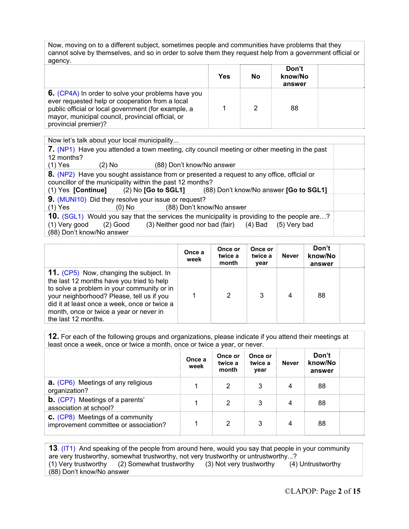Now, moving on to a different subject, sometimes people and communities have problems that they cannot solve by themselves, and so in order to solve them they request help from a government official or agency

|                                                                                                                                                                                                                                           | Yes | Nο | Don't<br>know/No<br>answer |  |
|-------------------------------------------------------------------------------------------------------------------------------------------------------------------------------------------------------------------------------------------|-----|----|----------------------------|--|
| 6. (CP4A) In order to solve your problems have you<br>ever requested help or cooperation from a local<br>public official or local government (for example, a<br>mayor, municipal council, provincial official, or<br>provincial premier)? |     |    | 88                         |  |

Now let's talk about your local municipality... **7.** (NP1) Have you attended a town meeting, city council meeting or other meeting in the past 12 months?<br>(1) Yes (2) No (88) Don't know/No answer **8.** (NP2) Have you sought assistance from or presented a request to any office, official or councillor of the municipality within the past 12 months?<br>(1) Yes [Continue] (2) No [Go to SGL1] (88 (88) Don't know/No answer **[Go to SGL1] 9.** (MUNI10) Did they resolve your issue or request? (1) Yes (0) No (88) Don't know/No answer **10.** (SGL1) Would you say that the services the municipality is providing to the people are...?<br>(1) Very good (2) Good (3) Neither good nor bad (fair) (4) Bad (5) Very bad (3) Neither good nor bad (fair)  $(4)$  Bad  $(5)$  Very bad (88) Don't know/No answer

|                                                                                                                                                                                                                                                                                                   | Once a<br>week | Once or<br>twice a<br>month | Once or<br>twice a<br>year | Never | Don't<br>know/No<br>answer |  |
|---------------------------------------------------------------------------------------------------------------------------------------------------------------------------------------------------------------------------------------------------------------------------------------------------|----------------|-----------------------------|----------------------------|-------|----------------------------|--|
| 11. (CP5) Now, changing the subject. In<br>the last 12 months have you tried to help<br>to solve a problem in your community or in<br>your neighborhood? Please, tell us if you<br>did it at least once a week, once or twice a<br>month, once or twice a year or never in<br>the last 12 months. |                | 2                           |                            | 4     | 88                         |  |

**12.** For each of the following groups and organizations, please indicate if you attend their meetings at least once a week, once or twice a month, once or twice a year, or never.

|                                                                                  | Once a<br>week | Once or<br>twice a<br>month | Once or<br>twice a<br>year | Never | Don't<br>know/No<br>answer |  |
|----------------------------------------------------------------------------------|----------------|-----------------------------|----------------------------|-------|----------------------------|--|
| <b>a.</b> (CP6) Meetings of any religious<br>organization?                       |                |                             |                            |       | 88                         |  |
| <b>b.</b> (CP7) Meetings of a parents'<br>association at school?                 |                |                             |                            |       | 88                         |  |
| <b>C.</b> (CP8) Meetings of a community<br>improvement committee or association? |                |                             |                            |       | 88                         |  |

**13**. (IT1) And speaking of the people from around here, would you say that people in your community are very trustworthy, somewhat trustworthy, not very trustworthy or untrustworthy...?<br>(1) Very trustworthy (2) Somewhat trustworthy (3) Not very trustworthy (4) (2) Somewhat trustworthy (3) Not very trustworthy  $(4)$  Untrustworthy (88) Don't know/No answer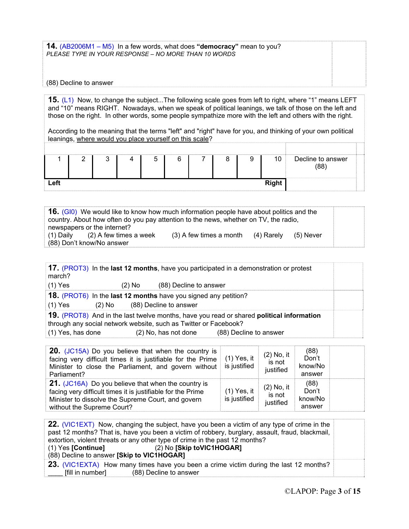**14.** (AB2006M1 – M5) In a few words, what does **"democracy"** mean to you? *PLEASE TYPE IN YOUR RESPONSE – NO MORE THAN 10 WORDS*

## (88) Decline to answer

**15.** (L1) Now, to change the subject...The following scale goes from left to right, where "1" means LEFT and "10" means RIGHT. Nowadays, when we speak of political leanings, we talk of those on the left and those on the right. In other words, some people sympathize more with the left and others with the right.

According to the meaning that the terms "left" and "right" have for you, and thinking of your own political leanings, where would you place yourself on this scale?

|      | ◠ |  |  | ◡ | 10 <sup>1</sup> | Decline to answer<br>(88) |
|------|---|--|--|---|-----------------|---------------------------|
| Left |   |  |  |   | <b>Right</b>    |                           |

**16.** (GI0)We would like to know how much information people have about politics and the country. About how often do you pay attention to the news, whether on TV, the radio, newspapers or the internet?<br>(1) Daily (2) A few times a week (3) A few times a month  $(4)$  Rarely  $(5)$  Never (88) Don't know/No answer

| march?                                                                                        |          |                        | 17. (PROT3) In the last 12 months, have you participated in a demonstration or protest                             |  |
|-----------------------------------------------------------------------------------------------|----------|------------------------|--------------------------------------------------------------------------------------------------------------------|--|
| $(1)$ Yes                                                                                     | $(2)$ No | (88) Decline to answer |                                                                                                                    |  |
| <b>18.</b> (PROT6) In the last 12 months have you signed any petition?<br>$(1)$ Yes<br>(2) No |          | (88) Decline to answer |                                                                                                                    |  |
| through any social network website, such as Twitter or Facebook?<br>(1) Yes, has done         |          | (2) No, has not done   | 19. (PROT8) And in the last twelve months, have you read or shared political information<br>(88) Decline to answer |  |

| 20. (JC15A) Do you believe that when the country is<br>facing very difficult times it is justifiable for the Prime<br>Minister to close the Parliament, and govern without<br>Parliament?              | $(1)$ Yes, it<br>is justified | $(2)$ No, it<br>is not<br>justified | (88)<br>Don't<br>know/No<br>answer |  |
|--------------------------------------------------------------------------------------------------------------------------------------------------------------------------------------------------------|-------------------------------|-------------------------------------|------------------------------------|--|
| 21. (JC16A) Do you believe that when the country is<br>facing very difficult times it is justifiable for the Prime<br>Minister to dissolve the Supreme Court, and govern<br>without the Supreme Court? | $(1)$ Yes, it<br>is justified | $(2)$ No, it<br>is not<br>justified | (88)<br>Don't<br>know/No<br>answer |  |

|                                                                                                  | 22. (VIC1EXT) Now, changing the subject, have you been a victim of any type of crime in the |  |  |  |
|--------------------------------------------------------------------------------------------------|---------------------------------------------------------------------------------------------|--|--|--|
| past 12 months? That is, have you been a victim of robbery, burglary, assault, fraud, blackmail, |                                                                                             |  |  |  |
| extortion, violent threats or any other type of crime in the past 12 months?                     |                                                                                             |  |  |  |
| $(1)$ Yes [Continue]                                                                             | (2) No [Skip toVIC1HOGAR]                                                                   |  |  |  |
| (88) Decline to answer [Skip to VIC1HOGAR]                                                       |                                                                                             |  |  |  |
|                                                                                                  | 23. (VIC1EXTA) How many times have you been a crime victim during the last 12 months?       |  |  |  |
| [fill in number]                                                                                 | (88) Decline to answer                                                                      |  |  |  |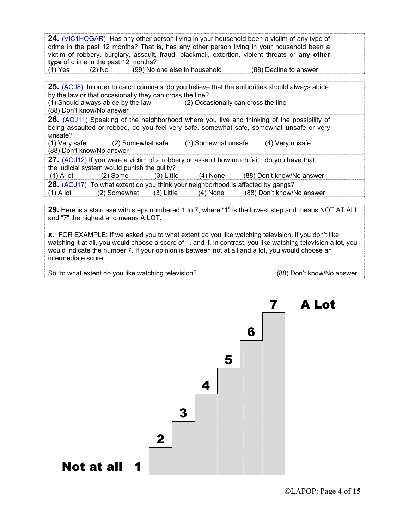| <b>24.</b> (VIC1HOGAR) Has any other person living in your household been a victim of any type of<br>crime in the past 12 months? That is, has any other person living in your household been a<br>victim of robbery, burglary, assault, fraud, blackmail, extortion, violent threats or any other<br>type of crime in the past 12 months?<br>(2) No (99) No one else in household<br>(1) Yes<br>(88) Decline to answer |  |
|-------------------------------------------------------------------------------------------------------------------------------------------------------------------------------------------------------------------------------------------------------------------------------------------------------------------------------------------------------------------------------------------------------------------------|--|
| 25. (AOJ8) In order to catch criminals, do you believe that the authorities should always abide<br>by the law or that occasionally they can cross the line?<br>(1) Should always abide by the law (2) Occasionally can cross the line<br>(88) Don't know/No answer                                                                                                                                                      |  |
| <b>26.</b> (AOJ11) Speaking of the neighborhood where you live and thinking of the possibility of<br>being assaulted or robbed, do you feel very safe, somewhat safe, somewhat unsafe or very<br>unsafe?<br>(1) Very safe (2) Somewhat safe (3) Somewhat unsafe (4) Very unsafe<br>(88) Don't know/No answer                                                                                                            |  |
| 27. (AOJ12) If you were a victim of a robbery or assault how much faith do you have that<br>the judicial system would punish the guilty?<br>(2) Some (3) Little (4) None (88) Don't know/No answer<br>$(1)$ A lot                                                                                                                                                                                                       |  |
| <b>28.</b> (AOJ17) To what extent do you think your neighborhood is affected by gangs?<br>$(1)$ A lot $(2)$ Somewhat $(3)$ Little<br>(4) None (88) Don't know/No answer                                                                                                                                                                                                                                                 |  |

**29.** Here is a staircase with steps numbered 1 to 7, where "1" is the lowest step and means NOT AT ALL and "7" the highest and means A LOT.

**x.** FOR EXAMPLE: If we asked you to what extent do you like watching television, if you don't like watching it at all, you would choose a score of 1, and if, in contrast, you like watching television a lot, you would indicate the number 7. If your opinion is between not at all and a lot, you would choose an intermediate score.

So, to what extent do you like watching television? (88) Don't know/No answer

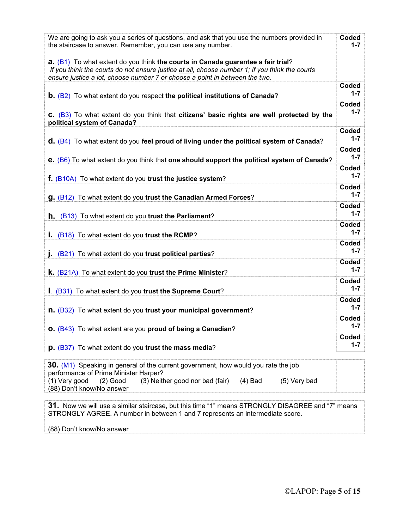| We are going to ask you a series of questions, and ask that you use the numbers provided in<br>the staircase to answer. Remember, you can use any number.<br><b>a.</b> $(B1)$ To what extent do you think the courts in Canada guarantee a fair trial?<br>If you think the courts do not ensure justice at all, choose number 1; if you think the courts<br>ensure justice a lot, choose number 7 or choose a point in between the two. | Coded<br>$1 - 7$ |
|-----------------------------------------------------------------------------------------------------------------------------------------------------------------------------------------------------------------------------------------------------------------------------------------------------------------------------------------------------------------------------------------------------------------------------------------|------------------|
| <b>b.</b> $(B2)$ To what extent do you respect the political institutions of Canada?                                                                                                                                                                                                                                                                                                                                                    | Coded<br>$1 - 7$ |
| C. (B3) To what extent do you think that citizens' basic rights are well protected by the<br>political system of Canada?                                                                                                                                                                                                                                                                                                                | Coded<br>$1 - 7$ |
|                                                                                                                                                                                                                                                                                                                                                                                                                                         | Coded<br>$1 - 7$ |
| $\mathsf{d}$ . (B4) To what extent do you feel proud of living under the political system of Canada?                                                                                                                                                                                                                                                                                                                                    | Coded            |
| e. (B6) To what extent do you think that one should support the political system of Canada?                                                                                                                                                                                                                                                                                                                                             | $1 - 7$          |
| f. (B10A) To what extent do you trust the justice system?                                                                                                                                                                                                                                                                                                                                                                               | Coded<br>$1 - 7$ |
| <b>g.</b> (B12) To what extent do you trust the Canadian Armed Forces?                                                                                                                                                                                                                                                                                                                                                                  | Coded<br>$1 - 7$ |
| (B13) To what extent do you trust the Parliament?<br>h.                                                                                                                                                                                                                                                                                                                                                                                 | Coded<br>$1 - 7$ |
| <b>i.</b> (B18) To what extent do you trust the RCMP?                                                                                                                                                                                                                                                                                                                                                                                   | Coded<br>$1 - 7$ |
| <b>j.</b> (B21) To what extent do you trust political parties?                                                                                                                                                                                                                                                                                                                                                                          | Coded<br>$1 - 7$ |
| <b>k.</b> (B21A) To what extent do you trust the Prime Minister?                                                                                                                                                                                                                                                                                                                                                                        | Coded<br>$1 - 7$ |
| I. (B31) To what extent do you trust the Supreme Court?                                                                                                                                                                                                                                                                                                                                                                                 | Coded<br>$1 - 7$ |
| n. (B32) To what extent do you trust your municipal government?                                                                                                                                                                                                                                                                                                                                                                         | Coded<br>$1 - 7$ |
| O. (B43) To what extent are you proud of being a Canadian?                                                                                                                                                                                                                                                                                                                                                                              | Coded<br>$1 - 7$ |
| <b>p.</b> (B37) To what extent do you trust the mass media?                                                                                                                                                                                                                                                                                                                                                                             | Coded<br>$1 - 7$ |
|                                                                                                                                                                                                                                                                                                                                                                                                                                         |                  |
| 30. (M1) Speaking in general of the current government, how would you rate the job<br>performance of Prime Minister Harper?<br>(1) Very good<br>(3) Neither good nor bad (fair)<br>$(2)$ Good<br>$(4)$ Bad<br>(5) Very bad<br>(88) Don't know/No answer                                                                                                                                                                                 |                  |

**31.** Now we will use a similar staircase, but this time "1" means STRONGLY DISAGREE and "7" means STRONGLY AGREE. A number in between 1 and 7 represents an intermediate score.

(88) Don't know/No answer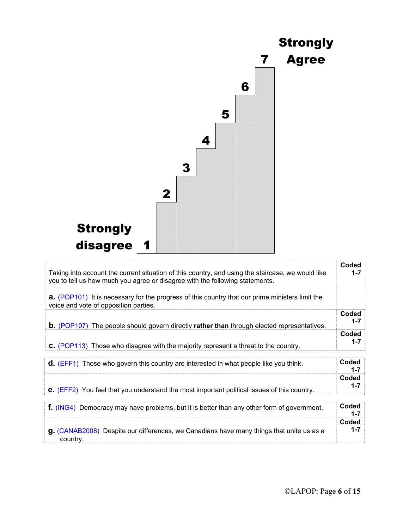

| Taking into account the current situation of this country, and using the staircase, we would like<br>you to tell us how much you agree or disagree with the following statements. | Coded<br>$1 - 7$ |
|-----------------------------------------------------------------------------------------------------------------------------------------------------------------------------------|------------------|
| <b>a.</b> (POP101) It is necessary for the progress of this country that our prime ministers limit the<br>voice and vote of opposition parties.                                   |                  |
| <b>b.</b> (POP107) The people should govern directly rather than through elected representatives.                                                                                 | Coded<br>$1 - 7$ |
| <b>C.</b> (POP113) Those who disagree with the majority represent a threat to the country.                                                                                        | Coded<br>$1 - 7$ |
| <b>d.</b> (EFF1) Those who govern this country are interested in what people like you think.                                                                                      | Coded<br>$1 - 7$ |
|                                                                                                                                                                                   | Coded            |

**e.** (EFF2)You feel that you understand the most important political issues of this country.

| $\mathsf{F}$ . (ING4) Democracy may have problems, but it is better than any other form of government.      | Coded |
|-------------------------------------------------------------------------------------------------------------|-------|
| <b>g.</b> (CANAB2008) Despite our differences, we Canadians have many things that unite us as a<br>country. | Coded |

**1-7**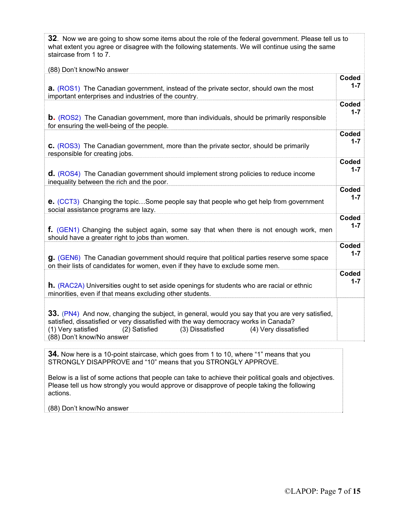| 32. Now we are going to show some items about the role of the federal government. Please tell us to<br>what extent you agree or disagree with the following statements. We will continue using the same<br>staircase from 1 to 7.                                                                     |         |
|-------------------------------------------------------------------------------------------------------------------------------------------------------------------------------------------------------------------------------------------------------------------------------------------------------|---------|
| (88) Don't know/No answer                                                                                                                                                                                                                                                                             |         |
| <b>a.</b> (ROS1) The Canadian government, instead of the private sector, should own the most                                                                                                                                                                                                          | Coded   |
| important enterprises and industries of the country.                                                                                                                                                                                                                                                  | $1 - 7$ |
| <b>b.</b> (ROS2) The Canadian government, more than individuals, should be primarily responsible                                                                                                                                                                                                      | Coded   |
| for ensuring the well-being of the people.                                                                                                                                                                                                                                                            | $1 - 7$ |
| <b>c.</b> (ROS3) The Canadian government, more than the private sector, should be primarily                                                                                                                                                                                                           | Coded   |
| responsible for creating jobs.                                                                                                                                                                                                                                                                        | $1 - 7$ |
| <b>d.</b> (ROS4) The Canadian government should implement strong policies to reduce income                                                                                                                                                                                                            | Coded   |
| inequality between the rich and the poor.                                                                                                                                                                                                                                                             | $1 - 7$ |
| e. (CCT3) Changing the topicSome people say that people who get help from government                                                                                                                                                                                                                  | Coded   |
| social assistance programs are lazy.                                                                                                                                                                                                                                                                  | $1 - 7$ |
| f. (GEN1) Changing the subject again, some say that when there is not enough work, men                                                                                                                                                                                                                | Coded   |
| should have a greater right to jobs than women.                                                                                                                                                                                                                                                       | $1 - 7$ |
| <b>g.</b> (GEN6) The Canadian government should require that political parties reserve some space                                                                                                                                                                                                     | Coded   |
| on their lists of candidates for women, even if they have to exclude some men.                                                                                                                                                                                                                        | $1 - 7$ |
| <b>h.</b> (RAC2A) Universities ought to set aside openings for students who are racial or ethnic                                                                                                                                                                                                      | Coded   |
| minorities, even if that means excluding other students.                                                                                                                                                                                                                                              | $1 - 7$ |
| 33. (PN4) And now, changing the subject, in general, would you say that you are very satisfied,<br>satisfied, dissatisfied or very dissatisfied with the way democracy works in Canada?<br>(1) Very satisfied<br>(3) Dissatisfied (4) Very dissatisfied<br>(2) Satisfied<br>(88) Don't know/No answer |         |
| 34. Now here is a 10-point staircase, which goes from 1 to 10, where "1" means that you<br>STRONGLY DISAPPROVE and "10" means that you STRONGLY APPROVE.                                                                                                                                              |         |

Below is a list of some actions that people can take to achieve their political goals and objectives. Please tell us how strongly you would approve or disapprove of people taking the following actions.

(88) Don't know/No answer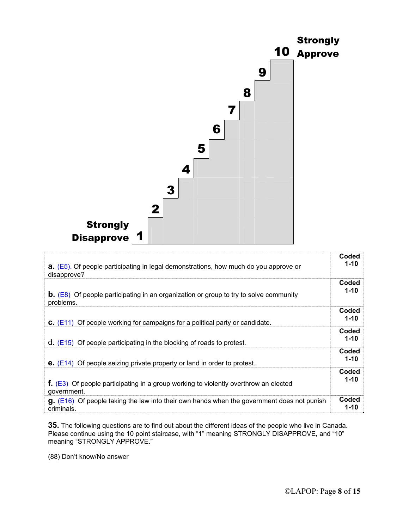

| <b>a.</b> (E5). Of people participating in legal demonstrations, how much do you approve or            | Coded             |
|--------------------------------------------------------------------------------------------------------|-------------------|
| disapprove?                                                                                            | $1 - 10$          |
| <b>b.</b> (E8) Of people participating in an organization or group to try to solve community           | Coded             |
| problems.                                                                                              | $1 - 10$          |
| <b>C.</b> ( $E11$ ) Of people working for campaigns for a political party or candidate.                | Coded<br>$1 - 10$ |
| $d.$ (E15) Of people participating in the blocking of roads to protest.                                | Coded<br>$1 - 10$ |
| <b>e.</b> $(E14)$ Of people seizing private property or land in order to protest.                      | Coded<br>$1 - 10$ |
| <b>f.</b> (E3) Of people participating in a group working to violently overthrow an elected            | Coded             |
| government.                                                                                            | $1 - 10$          |
| $\mathbf{g}$ . (E16) Of people taking the law into their own hands when the government does not punish | Coded             |
| criminals.                                                                                             | $1 - 10$          |

**35.** The following questions are to find out about the different ideas of the people who live in Canada. Please continue using the 10 point staircase, with "1" meaning STRONGLY DISAPPROVE, and "10" meaning "STRONGLY APPROVE."

(88) Don't know/No answer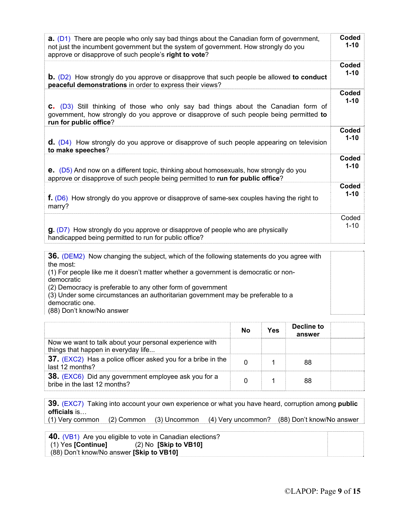| <b>a.</b> $(D1)$ There are people who only say bad things about the Canadian form of government,<br>not just the incumbent government but the system of government. How strongly do you<br>approve or disapprove of such people's right to vote? | Coded<br>$1 - 10$ |
|--------------------------------------------------------------------------------------------------------------------------------------------------------------------------------------------------------------------------------------------------|-------------------|
| <b>b.</b> (D2) How strongly do you approve or disapprove that such people be allowed to conduct                                                                                                                                                  | Coded             |
| peaceful demonstrations in order to express their views?                                                                                                                                                                                         | $1 - 10$          |
| C. (D3) Still thinking of those who only say bad things about the Canadian form of<br>government, how strongly do you approve or disapprove of such people being permitted to<br>run for public office?                                          | Coded<br>$1 - 10$ |
| $\mathsf{d}$ . (D4) How strongly do you approve or disapprove of such people appearing on television                                                                                                                                             | Coded             |
| to make speeches?                                                                                                                                                                                                                                | $1 - 10$          |
| <b>e.</b> (D5) And now on a different topic, thinking about homosexuals, how strongly do you                                                                                                                                                     | Coded             |
| approve or disapprove of such people being permitted to run for public office?                                                                                                                                                                   | $1 - 10$          |
| <b>f.</b> (D6) How strongly do you approve or disapprove of same-sex couples having the right to                                                                                                                                                 | Coded             |
| marry?                                                                                                                                                                                                                                           | $1 - 10$          |
| $\mathbf{g}$ . (D7) How strongly do you approve or disapprove of people who are physically                                                                                                                                                       | Coded             |
| handicapped being permitted to run for public office?                                                                                                                                                                                            | $1 - 10$          |
|                                                                                                                                                                                                                                                  |                   |

| <b>36.</b> (DEM2) Now changing the subject, which of the following statements do you agree with |  |
|-------------------------------------------------------------------------------------------------|--|
| the most:                                                                                       |  |
| (1) For people like me it doesn't matter whether a government is democratic or non-             |  |
| democratic                                                                                      |  |
| (2) Democracy is preferable to any other form of government                                     |  |
| (3) Under some circumstances an authoritarian government may be preferable to a                 |  |
| democratic one.                                                                                 |  |
| (88) Don't know/No answer                                                                       |  |

|                                                                                                | Nο | Yes | Decline to<br>answer |  |
|------------------------------------------------------------------------------------------------|----|-----|----------------------|--|
| Now we want to talk about your personal experience with<br>things that happen in everyday life |    |     |                      |  |
| 37. (EXC2) Has a police officer asked you for a bribe in the<br>last 12 months?                |    |     | 88                   |  |
| 38. (EXC6) Did any government employee ask you for a<br>bribe in the last 12 months?           |    |     |                      |  |

**39.** (EXC7) Taking into account your own experience or what you have heard, corruption among **public officials** is…

(1) Very common (2) Common (3) Uncommon (4) Very uncommon? (88) Don't know/No answer

|                                          | 40. (VB1) Are you eligible to vote in Canadian elections? |  |
|------------------------------------------|-----------------------------------------------------------|--|
| (1) Yes [Continue]                       | $(2)$ No $[Skip$ to VB10]                                 |  |
| (88) Don't know/No answer [Skip to VB10] |                                                           |  |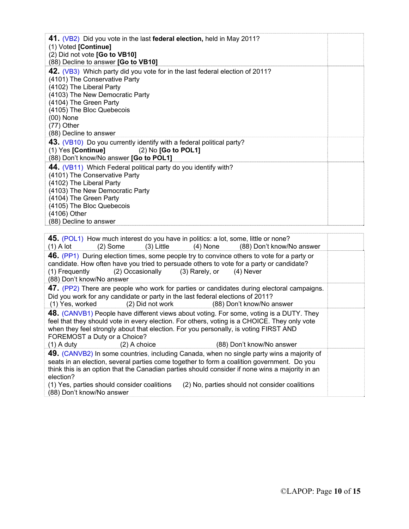| 41. (VB2) Did you vote in the last federal election, held in May 2011?<br>(1) Voted [Continue]<br>(2) Did not vote [Go to VB10]<br>(88) Decline to answer [Go to VB10]                                                                                                                       |  |
|----------------------------------------------------------------------------------------------------------------------------------------------------------------------------------------------------------------------------------------------------------------------------------------------|--|
| 42. (VB3) Which party did you vote for in the last federal election of 2011?<br>(4101) The Conservative Party<br>(4102) The Liberal Party<br>(4103) The New Democratic Party<br>(4104) The Green Party<br>(4105) The Bloc Quebecois<br>$(00)$ None<br>$(77)$ Other<br>(88) Decline to answer |  |
| 43. (VB10) Do you currently identify with a federal political party?<br>$(1)$ Yes [Continue] $(2)$ No [Go to POL1]<br>(88) Don't know/No answer [Go to POL1]                                                                                                                                 |  |
| 44. (VB11) Which Federal political party do you identify with?<br>(4101) The Conservative Party<br>(4102) The Liberal Party<br>(4103) The New Democratic Party<br>(4104) The Green Party<br>(4105) The Bloc Quebecois<br>(4106) Other<br>(88) Decline to answer                              |  |

| 45. (POL1) How much interest do you have in politics: a lot, some, little or none?<br>$(2)$ Some $(3)$ Little $(4)$ None<br>(88) Don't know/No answer<br>(1) A lot                                                                                                                                                                                                                                                                    |  |
|---------------------------------------------------------------------------------------------------------------------------------------------------------------------------------------------------------------------------------------------------------------------------------------------------------------------------------------------------------------------------------------------------------------------------------------|--|
| 46. (PP1) During election times, some people try to convince others to vote for a party or<br>candidate. How often have you tried to persuade others to vote for a party or candidate?<br>(2) Occasionally (3) Rarely, or<br>(4) Never<br>(1) Frequently<br>(88) Don't know/No answer                                                                                                                                                 |  |
| 47. (PP2) There are people who work for parties or candidates during electoral campaigns.<br>Did you work for any candidate or party in the last federal elections of 2011?<br>(2) Did not work<br>(1) Yes, worked<br>(88) Don't know/No answer                                                                                                                                                                                       |  |
| 48. (CANVB1) People have different views about voting. For some, voting is a DUTY. They<br>feel that they should vote in every election. For others, voting is a CHOICE. They only vote<br>when they feel strongly about that election. For you personally, is voting FIRST AND<br>FOREMOST a Duty or a Choice?<br>$(1)$ A duty<br>$(2)$ A choice<br>(88) Don't know/No answer                                                        |  |
| 49. (CANVB2) In some countries, including Canada, when no single party wins a majority of<br>seats in an election, several parties come together to form a coalition government. Do you<br>think this is an option that the Canadian parties should consider if none wins a majority in an<br>election?<br>(2) No, parties should not consider coalitions<br>(1) Yes, parties should consider coalitions<br>(88) Don't know/No answer |  |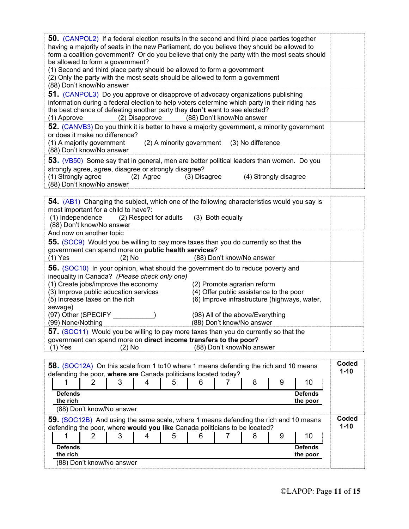| <b>50.</b> (CANPOL2) If a federal election results in the second and third place parties together<br>having a majority of seats in the new Parliament, do you believe they should be allowed to<br>form a coalition government? Or do you believe that only the party with the most seats should<br>be allowed to form a government?<br>(1) Second and third place party should be allowed to form a government<br>(2) Only the party with the most seats should be allowed to form a government<br>(88) Don't know/No answer |                   |
|-------------------------------------------------------------------------------------------------------------------------------------------------------------------------------------------------------------------------------------------------------------------------------------------------------------------------------------------------------------------------------------------------------------------------------------------------------------------------------------------------------------------------------|-------------------|
| 51. (CANPOL3) Do you approve or disapprove of advocacy organizations publishing<br>information during a federal election to help voters determine which party in their riding has<br>the best chance of defeating another party they don't want to see elected?<br>(2) Disapprove (88) Don't know/No answer<br>(1) Approve                                                                                                                                                                                                    |                   |
| 52. (CANVB3) Do you think it is better to have a majority government, a minority government<br>or does it make no difference?<br>(1) A majority government<br>(2) A minority government (3) No difference<br>(88) Don't know/No answer                                                                                                                                                                                                                                                                                        |                   |
| 53. (VB50) Some say that in general, men are better political leaders than women. Do you<br>strongly agree, agree, disagree or strongly disagree?<br>(1) Strongly agree<br>(4) Strongly disagree<br>$(2)$ Agree<br>(3) Disagree<br>(88) Don't know/No answer                                                                                                                                                                                                                                                                  |                   |
| 54. (AB1) Changing the subject, which one of the following characteristics would you say is<br>most important for a child to have?:<br>(1) Independence<br>(2) Respect for adults<br>(3) Both equally<br>(88) Don't know/No answer                                                                                                                                                                                                                                                                                            |                   |
| And now on another topic<br>55. (SOC9) Would you be willing to pay more taxes than you do currently so that the<br>government can spend more on public health services?<br>$(1)$ Yes<br>(88) Don't know/No answer<br>$(2)$ No                                                                                                                                                                                                                                                                                                 |                   |
| 56. (SOC10) In your opinion, what should the government do to reduce poverty and<br>inequality in Canada? (Please check only one)<br>(1) Create jobs/improve the economy<br>(2) Promote agrarian reform<br>(4) Offer public assistance to the poor<br>(3) Improve public education services<br>(5) Increase taxes on the rich<br>(6) Improve infrastructure (highways, water,                                                                                                                                                 |                   |
| sewage)<br>(98) All of the above/Everything<br>(99) None/Nothing<br>(88) Don't know/No answer                                                                                                                                                                                                                                                                                                                                                                                                                                 |                   |
| 57. (SOC11) Would you be willing to pay more taxes than you do currently so that the<br>government can spend more on direct income transfers to the poor?<br>$(1)$ Yes<br>(88) Don't know/No answer<br>$(2)$ No                                                                                                                                                                                                                                                                                                               |                   |
| 58. (SOC12A) On this scale from 1 to 10 where 1 means defending the rich and 10 means<br>defending the poor, where are Canada politicians located today?<br>8<br>9<br>10<br>3<br>4<br>5<br>6<br>2<br>7                                                                                                                                                                                                                                                                                                                        | Coded<br>$1 - 10$ |
| <b>Defends</b><br><b>Defends</b><br>the rich<br>the poor<br>(88) Don't know/No answer                                                                                                                                                                                                                                                                                                                                                                                                                                         |                   |
| 59. (SOC12B) And using the same scale, where 1 means defending the rich and 10 means<br>defending the poor, where would you like Canada politicians to be located?<br>1<br>2<br>3<br>5<br>10<br>4<br>6<br>7<br>8<br>9                                                                                                                                                                                                                                                                                                         | Coded<br>$1 - 10$ |
| <b>Defends</b><br><b>Defends</b><br>the rich<br>the poor<br>(88) Don't know/No answer                                                                                                                                                                                                                                                                                                                                                                                                                                         |                   |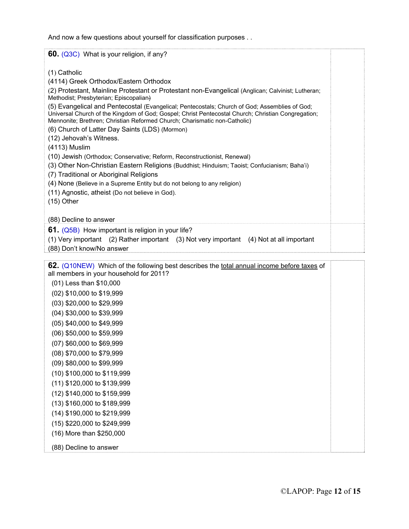And now a few questions about yourself for classification purposes . .

| 60. (Q3C) What is your religion, if any?                                                                                                                                                                                                                                                                                                                                                                                                                                                                                                                                                                                                                                                                                                                                                                                                                                                                                                      |  |
|-----------------------------------------------------------------------------------------------------------------------------------------------------------------------------------------------------------------------------------------------------------------------------------------------------------------------------------------------------------------------------------------------------------------------------------------------------------------------------------------------------------------------------------------------------------------------------------------------------------------------------------------------------------------------------------------------------------------------------------------------------------------------------------------------------------------------------------------------------------------------------------------------------------------------------------------------|--|
| (1) Catholic<br>(4114) Greek Orthodox/Eastern Orthodox<br>(2) Protestant, Mainline Protestant or Protestant non-Evangelical (Anglican; Calvinist; Lutheran;<br>Methodist; Presbyterian; Episcopalian)<br>(5) Evangelical and Pentecostal (Evangelical; Pentecostals; Church of God; Assemblies of God;<br>Universal Church of the Kingdom of God; Gospel; Christ Pentecostal Church; Christian Congregation;<br>Mennonite; Brethren; Christian Reformed Church; Charismatic non-Catholic)<br>(6) Church of Latter Day Saints (LDS) (Mormon)<br>(12) Jehovah's Witness.<br>(4113) Muslim<br>(10) Jewish (Orthodox; Conservative; Reform, Reconstructionist, Renewal)<br>(3) Other Non-Christian Eastern Religions (Buddhist; Hinduism; Taoist; Confucianism; Baha'i)<br>(7) Traditional or Aboriginal Religions<br>(4) None (Believe in a Supreme Entity but do not belong to any religion)<br>(11) Agnostic, atheist (Do not believe in God). |  |
| $(15)$ Other                                                                                                                                                                                                                                                                                                                                                                                                                                                                                                                                                                                                                                                                                                                                                                                                                                                                                                                                  |  |
| (88) Decline to answer                                                                                                                                                                                                                                                                                                                                                                                                                                                                                                                                                                                                                                                                                                                                                                                                                                                                                                                        |  |
| 61. (Q5B) How important is religion in your life?<br>(1) Very important (2) Rather important (3) Not very important (4) Not at all important<br>(88) Don't know/No answer                                                                                                                                                                                                                                                                                                                                                                                                                                                                                                                                                                                                                                                                                                                                                                     |  |
| 62. (Q10NEW) Which of the following best describes the total annual income before taxes of<br>all members in your household for 2011?<br>(01) Less than \$10,000<br>(02) \$10,000 to \$19,999<br>(03) \$20,000 to \$29,999<br>(04) \$30,000 to \$39,999<br>(05) \$40,000 to \$49,999                                                                                                                                                                                                                                                                                                                                                                                                                                                                                                                                                                                                                                                          |  |

- (06) \$50,000 to \$59,999
- (07) \$60,000 to \$69,999
- (08) \$70,000 to \$79,999
- (09) \$80,000 to \$99,999
- (10) \$100,000 to \$119,999
- (11) \$120,000 to \$139,999
- (12) \$140,000 to \$159,999
- (13) \$160,000 to \$189,999
- (14) \$190,000 to \$219,999
- (15) \$220,000 to \$249,999
- (16) More than \$250,000
- (88) Decline to answer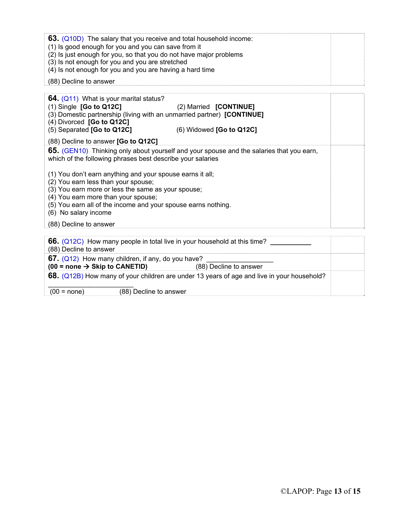| 63. (Q10D) The salary that you receive and total household income:<br>(1) Is good enough for you and you can save from it<br>(2) Is just enough for you, so that you do not have major problems<br>(3) Is not enough for you and you are stretched |  |
|----------------------------------------------------------------------------------------------------------------------------------------------------------------------------------------------------------------------------------------------------|--|
| (4) Is not enough for you and you are having a hard time                                                                                                                                                                                           |  |
| (88) Decline to answer                                                                                                                                                                                                                             |  |

| <b>64.</b> (Q11) What is your marital status?<br>$(1)$ Single [Go to Q12C]<br>(3) Domestic partnership (living with an unmarried partner) [CONTINUE]<br>(4) Divorced [Go to Q12C]<br>(5) Separated [Go to Q12C]                                                                                                              | (2) Married [CONTINUE]<br>$(6)$ Widowed $[Go$ to Q12C]                                   |  |
|------------------------------------------------------------------------------------------------------------------------------------------------------------------------------------------------------------------------------------------------------------------------------------------------------------------------------|------------------------------------------------------------------------------------------|--|
| (88) Decline to answer [Go to Q12C]                                                                                                                                                                                                                                                                                          |                                                                                          |  |
| which of the following phrases best describe your salaries<br>(1) You don't earn anything and your spouse earns it all;<br>(2) You earn less than your spouse;<br>(3) You earn more or less the same as your spouse;<br>(4) You earn more than your spouse;<br>(5) You earn all of the income and your spouse earns nothing. | 65. (GEN10) Thinking only about yourself and your spouse and the salaries that you earn, |  |
| (6) No salary income                                                                                                                                                                                                                                                                                                         |                                                                                          |  |
| (88) Decline to answer                                                                                                                                                                                                                                                                                                       |                                                                                          |  |
|                                                                                                                                                                                                                                                                                                                              |                                                                                          |  |

| 66. (Q12C) How many people in total live in your household at this time?<br>(88) Decline to answer |                                                                                            |  |
|----------------------------------------------------------------------------------------------------|--------------------------------------------------------------------------------------------|--|
| 67. $(Q12)$ How many children, if any, do you have?<br>$(00 = none \rightarrow$ Skip to CANETID)   | (88) Decline to answer                                                                     |  |
|                                                                                                    | 68. (Q12B) How many of your children are under 13 years of age and live in your household? |  |
| (88) Decline to answer<br>$(00 = none)$                                                            |                                                                                            |  |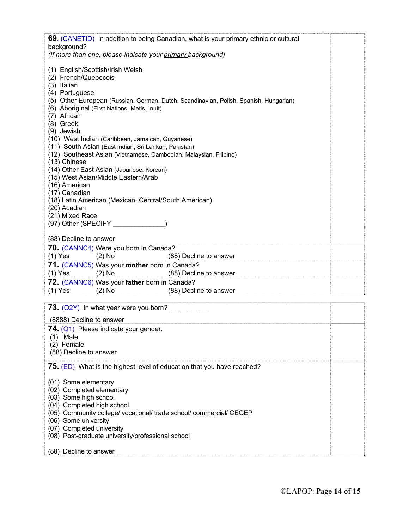| 69. (CANETID) In addition to being Canadian, what is your primary ethnic or cultural                                                                                                                                                                                                                                                                                                                                                                                                                                                                                                                                                                                                           |  |  |
|------------------------------------------------------------------------------------------------------------------------------------------------------------------------------------------------------------------------------------------------------------------------------------------------------------------------------------------------------------------------------------------------------------------------------------------------------------------------------------------------------------------------------------------------------------------------------------------------------------------------------------------------------------------------------------------------|--|--|
| background?<br>(If more than one, please indicate your primary background)                                                                                                                                                                                                                                                                                                                                                                                                                                                                                                                                                                                                                     |  |  |
| (1) English/Scottish/Irish Welsh<br>(2) French/Quebecois<br>(3) Italian<br>(4) Portuguese<br>(5) Other European (Russian, German, Dutch, Scandinavian, Polish, Spanish, Hungarian)<br>(6) Aboriginal (First Nations, Metis, Inuit)<br>(7) African<br>(8) Greek<br>(9) Jewish<br>(10) West Indian (Caribbean, Jamaican, Guyanese)<br>(11) South Asian (East Indian, Sri Lankan, Pakistan)<br>(12) Southeast Asian (Vietnamese, Cambodian, Malaysian, Filipino)<br>(13) Chinese<br>(14) Other East Asian (Japanese, Korean)<br>(15) West Asian/Middle Eastern/Arab<br>(16) American<br>(17) Canadian<br>(18) Latin American (Mexican, Central/South American)<br>(20) Acadian<br>(21) Mixed Race |  |  |
|                                                                                                                                                                                                                                                                                                                                                                                                                                                                                                                                                                                                                                                                                                |  |  |
| (88) Decline to answer<br>70. (CANNC4) Were you born in Canada?                                                                                                                                                                                                                                                                                                                                                                                                                                                                                                                                                                                                                                |  |  |
| $(1)$ Yes<br>$(2)$ No<br>(88) Decline to answer                                                                                                                                                                                                                                                                                                                                                                                                                                                                                                                                                                                                                                                |  |  |
| 71. (CANNC5) Was your mother born in Canada?<br>$(1)$ Yes<br>$(2)$ No<br>(88) Decline to answer                                                                                                                                                                                                                                                                                                                                                                                                                                                                                                                                                                                                |  |  |
| 72. (CANNC6) Was your father born in Canada?<br>$(1)$ Yes<br>$(2)$ No<br>(88) Decline to answer                                                                                                                                                                                                                                                                                                                                                                                                                                                                                                                                                                                                |  |  |
|                                                                                                                                                                                                                                                                                                                                                                                                                                                                                                                                                                                                                                                                                                |  |  |
| <b>73.</b> (Q2Y) In what year were you born? $\frac{1}{1}$ $\frac{1}{1}$<br>(8888) Decline to answer                                                                                                                                                                                                                                                                                                                                                                                                                                                                                                                                                                                           |  |  |
| 74. (Q1) Please indicate your gender.<br>$(1)$ Male<br>(2) Female<br>(88) Decline to answer                                                                                                                                                                                                                                                                                                                                                                                                                                                                                                                                                                                                    |  |  |
| 75. (ED) What is the highest level of education that you have reached?                                                                                                                                                                                                                                                                                                                                                                                                                                                                                                                                                                                                                         |  |  |
| (01) Some elementary<br>(02) Completed elementary<br>(03) Some high school<br>(04) Completed high school<br>(05) Community college/ vocational/ trade school/ commercial/ CEGEP<br>(06) Some university<br>(07) Completed university<br>(08) Post-graduate university/professional school                                                                                                                                                                                                                                                                                                                                                                                                      |  |  |
| (88) Decline to answer                                                                                                                                                                                                                                                                                                                                                                                                                                                                                                                                                                                                                                                                         |  |  |